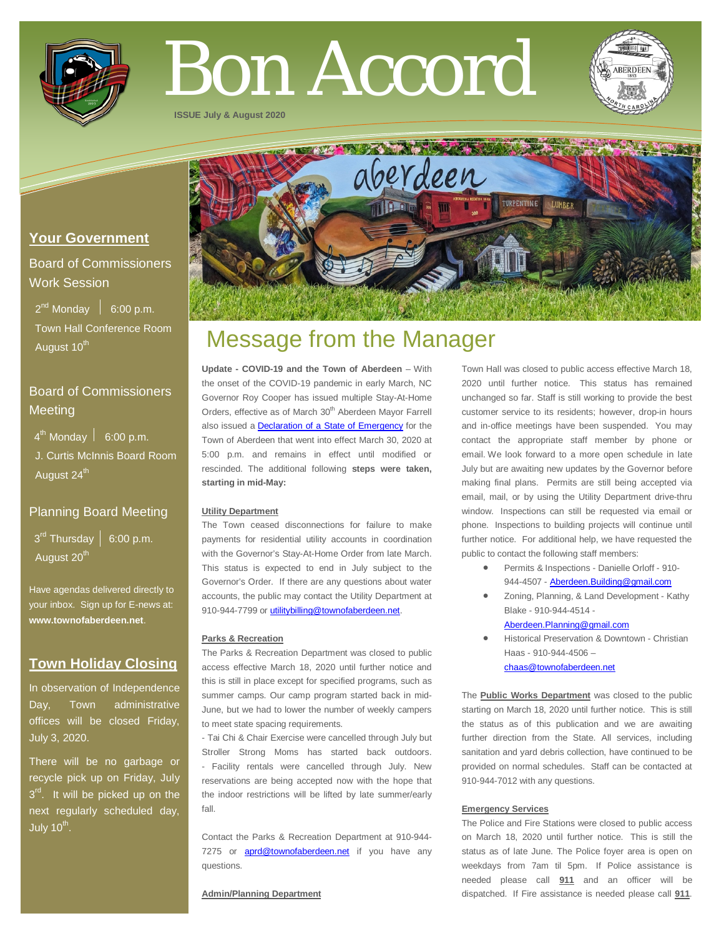

# Bon Accord

**ISSUE July & August 2020**



## **Your Government**

Board of Commissioners Work Session

 $2^{nd}$  Monday  $\left| 6:00 \text{ p.m.} \right|$  Town Hall Conference Room August 10<sup>th</sup>

# Board of Commissioners **Meeting**

 $4^{\text{th}}$  Monday  $\vert$  6:00 p.m.

 J. Curtis McInnis Board Room August 24<sup>th</sup>

## Planning Board Meeting

 $3<sup>rd</sup>$  Thursday | 6:00 p.m. August 20<sup>th</sup>

Have agendas delivered directly to your inbox. Sign up for E-news at: **[www.townofaberdeen.net](http://www.townofaberdeen.net/)**.

# **Town Holiday Closing**

In observation of Independence Day, Town administrative offices will be closed Friday, July 3, 2020.

There will be no garbage or recycle pick up on Friday, July  $3<sup>rd</sup>$ . It will be picked up on the next regularly scheduled day, July  $10^{th}$ .

# Message from the Manager

**Update - COVID-19 and the Town of Aberdeen** – With the onset of the COVID-19 pandemic in early March, NC Governor Roy Cooper has issued multiple Stay-At-Home Orders, effective as of March 30<sup>th</sup> Aberdeen Mayor Farrell also issued a **[Declaration of a State of Emergency](https://www.townofaberdeen.net/docview.aspx?docid=28610)** for the Town of Aberdeen that went into effect March 30, 2020 at 5:00 p.m. and remains in effect until modified or rescinded. The additional following **steps were taken, starting in mid-May:**

#### **Utility Department**

The Town ceased disconnections for failure to make payments for residential utility accounts in coordination with the Governor's Stay-At-Home Order from late March. This status is expected to end in July subject to the Governor's Order. If there are any questions about water accounts, the public may contact the Utility Department at 910-944-7799 o[r utilitybilling@townofaberdeen.net.](mailto:utilitybilling@townofaberdeen.net)

#### **Parks & Recreation**

The Parks & Recreation Department was closed to public access effective March 18, 2020 until further notice and this is still in place except for specified programs, such as summer camps. Our camp program started back in mid-June, but we had to lower the number of weekly campers to meet state spacing requirements.

- Tai Chi & Chair Exercise were cancelled through July but Stroller Strong Moms has started back outdoors. - Facility rentals were cancelled through July. New reservations are being accepted now with the hope that the indoor restrictions will be lifted by late summer/early fall.

Contact the Parks & Recreation Department at 910-944- 7275 or **[aprd@townofaberdeen.net](mailto:aprd@townofaberdeen.net)** if you have any questions.

#### **Admin/Planning Department**

Town Hall was closed to public access effective March 18, 2020 until further notice. This status has remained unchanged so far. Staff is still working to provide the best customer service to its residents; however, drop-in hours and in-office meetings have been suspended. You may contact the appropriate staff member by phone or email. We look forward to a more open schedule in late July but are awaiting new updates by the Governor before making final plans. Permits are still being accepted via email, mail, or by using the Utility Department drive-thru window. Inspections can still be requested via email or phone. Inspections to building projects will continue until further notice. For additional help, we have requested the public to contact the following staff members:

- Permits & Inspections Danielle Orloff 910- 944-4507 - [Aberdeen.Building@gmail.com](mailto:Aberdeen.Building@gmail.com)
- Zoning, Planning, & Land Development Kathy Blake - 910-944-4514 -
	- [Aberdeen.Planning@gmail.com](mailto:Aberdeen.Planning@gmail.com)
- Historical Preservation & Downtown Christian Haas - 910-944-4506 – [chaas@townofaberdeen.net](mailto:chaas@townofaberdeen.net)

The **Public Works Department** was closed to the public starting on March 18, 2020 until further notice. This is still the status as of this publication and we are awaiting further direction from the State. All services, including sanitation and yard debris collection, have continued to be provided on normal schedules. Staff can be contacted at 910-944-7012 with any questions.

#### **Emergency Services**

The Police and Fire Stations were closed to public access on March 18, 2020 until further notice. This is still the status as of late June. The Police foyer area is open on weekdays from 7am til 5pm. If Police assistance is needed please call **911** and an officer will be dispatched. If Fire assistance is needed please call **911**.